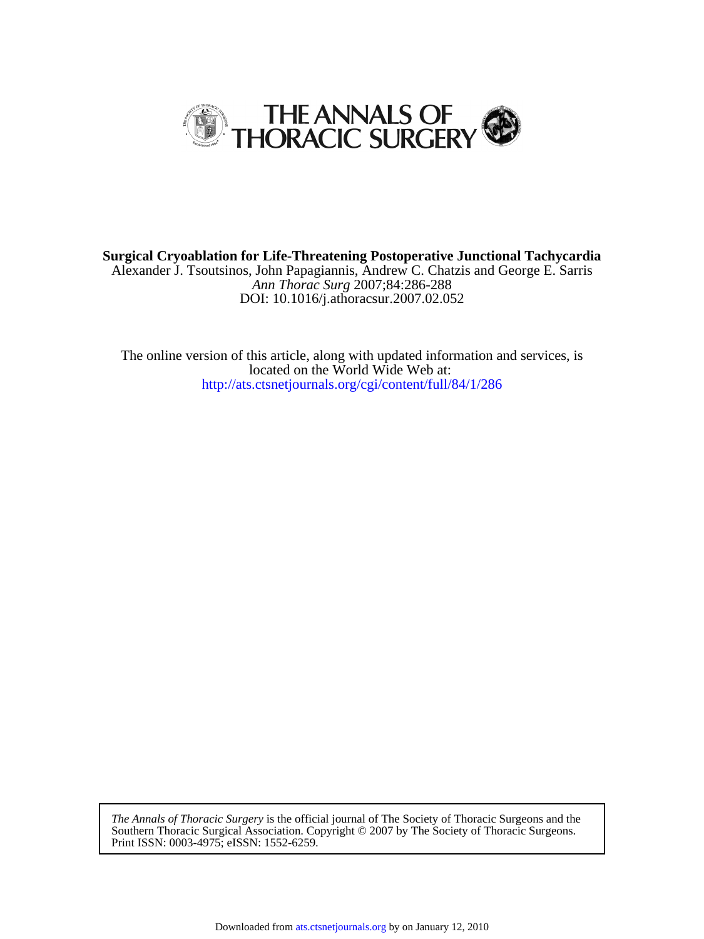

DOI: 10.1016/j.athoracsur.2007.02.052 *Ann Thorac Surg* 2007;84:286-288 Alexander J. Tsoutsinos, John Papagiannis, Andrew C. Chatzis and George E. Sarris **Surgical Cryoablation for Life-Threatening Postoperative Junctional Tachycardia**

<http://ats.ctsnetjournals.org/cgi/content/full/84/1/286> located on the World Wide Web at: The online version of this article, along with updated information and services, is

Print ISSN: 0003-4975; eISSN: 1552-6259. Southern Thoracic Surgical Association. Copyright © 2007 by The Society of Thoracic Surgeons. *The Annals of Thoracic Surgery* is the official journal of The Society of Thoracic Surgeons and the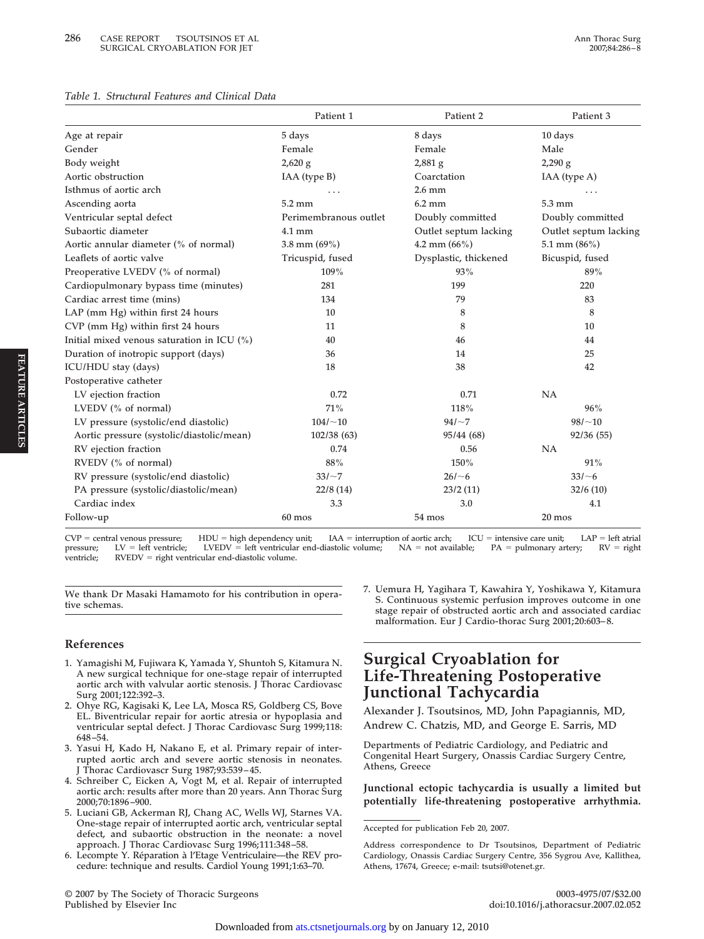#### *Table 1. Structural Features and Clinical Data*

|                                               | Patient 1             | Patient 2             | Patient 3             |
|-----------------------------------------------|-----------------------|-----------------------|-----------------------|
| Age at repair                                 | 5 days                | 8 days                | 10 days               |
| Gender                                        | Female                | Female                | Male                  |
| Body weight                                   | $2,620$ g             | $2,881$ g             | $2,290$ g             |
| Aortic obstruction                            | IAA (type B)          | Coarctation           | IAA (type A)          |
| Isthmus of aortic arch                        |                       | $2.6$ mm              |                       |
| Ascending aorta                               | 5.2 mm                | $6.2 \text{ mm}$      | 5.3 mm                |
| Ventricular septal defect                     | Perimembranous outlet | Doubly committed      | Doubly committed      |
| Subaortic diameter                            | 4.1 mm                | Outlet septum lacking | Outlet septum lacking |
| Aortic annular diameter (% of normal)         | 3.8 mm $(69\%)$       | 4.2 mm $(66\%)$       | 5.1 mm $(86\%)$       |
| Leaflets of aortic valve                      | Tricuspid, fused      | Dysplastic, thickened | Bicuspid, fused       |
| Preoperative LVEDV (% of normal)              | 109%                  | 93%                   | 89%                   |
| Cardiopulmonary bypass time (minutes)         | 281                   | 199                   | 220                   |
| Cardiac arrest time (mins)                    | 134                   | 79                    | 83                    |
| LAP (mm Hg) within first 24 hours             | 10                    | 8                     | 8                     |
| CVP (mm Hg) within first 24 hours             | 11                    | 8                     | 10                    |
| Initial mixed venous saturation in ICU $(\%)$ | 40                    | 46                    | 44                    |
| Duration of inotropic support (days)          | 36                    | 14                    | 25                    |
| ICU/HDU stay (days)                           | 18                    | 38                    | 42                    |
| Postoperative catheter                        |                       |                       |                       |
| LV ejection fraction                          | 0.72                  | 0.71                  | NA                    |
| LVEDV (% of normal)                           | 71%                   | 118%                  | 96%                   |
| LV pressure (systolic/end diastolic)          | $104/-10$             | $94/-7$               | $98/-10$              |
| Aortic pressure (systolic/diastolic/mean)     | 102/38 (63)           | 95/44 (68)            | 92/36 (55)            |
| RV ejection fraction                          | 0.74                  | 0.56                  | NA                    |
| RVEDV (% of normal)                           | 88%                   | 150%                  | 91%                   |
| RV pressure (systolic/end diastolic)          | $33/\sim7$            | $26/-6$               | 33/~6                 |
| PA pressure (systolic/diastolic/mean)         | 22/8(14)              | 23/2(11)              | 32/6(10)              |
| Cardiac index                                 | 3.3                   | 3.0                   | 4.1                   |
| Follow-up                                     | $60$ mos              | 54 mos                | 20 mos                |

**CVP central venous pressure; HDU high dependency unit; IAA interruption of aortic arch; ICU intensive care unit; LAP left atrial pressure; LV left ventricle; LVEDV left ventricular end-diastolic volume; NA not available; PA pulmonary artery; RV right** ventricle; RVEDV = right ventricular end-diastolic volume.

**We thank Dr Masaki Hamamoto for his contribution in operative schemas.**

### **References**

- **1. Yamagishi M, Fujiwara K, Yamada Y, Shuntoh S, Kitamura N. A new surgical technique for one-stage repair of interrupted aortic arch with valvular aortic stenosis. J Thorac Cardiovasc Surg 2001;122:392–3.**
- **2. Ohye RG, Kagisaki K, Lee LA, Mosca RS, Goldberg CS, Bove EL. Biventricular repair for aortic atresia or hypoplasia and ventricular septal defect. J Thorac Cardiovasc Surg 1999;118: 648 –54.**
- **3. Yasui H, Kado H, Nakano E, et al. Primary repair of interrupted aortic arch and severe aortic stenosis in neonates. J Thorac Cardiovascr Surg 1987;93:539 – 45.**
- **4. Schreiber C, Eicken A, Vogt M, et al. Repair of interrupted aortic arch: results after more than 20 years. Ann Thorac Surg 2000;70:1896 –900.**
- **5. Luciani GB, Ackerman RJ, Chang AC, Wells WJ, Starnes VA. One-stage repair of interrupted aortic arch, ventricular septal defect, and subaortic obstruction in the neonate: a novel approach. J Thorac Cardiovasc Surg 1996;111:348 –58.**
- **6. Lecompte Y. Réparation à l'Etage Ventriculaire—the REV procedure: technique and results. Cardiol Young 1991;1:63–70.**

**© 2007 by The Society of Thoracic Surgeons 0003-4975/07/\$32.00**

**7. Uemura H, Yagihara T, Kawahira Y, Yoshikawa Y, Kitamura S. Continuous systemic perfusion improves outcome in one stage repair of obstructed aortic arch and associated cardiac malformation. Eur J Cardio-thorac Surg 2001;20:603– 8.**

# **Surgical Cryoablation for Life-Threatening Postoperative Junctional Tachycardia**

**Alexander J. Tsoutsinos, MD, John Papagiannis, MD, Andrew C. Chatzis, MD, and George E. Sarris, MD**

**Departments of Pediatric Cardiology, and Pediatric and Congenital Heart Surgery, Onassis Cardiac Surgery Centre, Athens, Greece**

**Junctional ectopic tachycardia is usually a limited but potentially life-threatening postoperative arrhythmia.**

**FEATURE**

**Accepted for publication Feb 20, 2007.**

**Address correspondence to Dr Tsoutsinos, Department of Pediatric Cardiology, Onassis Cardiac Surgery Centre, 356 Sygrou Ave, Kallithea, Athens, 17674, Greece; e-mail: tsutsi@otenet.gr.**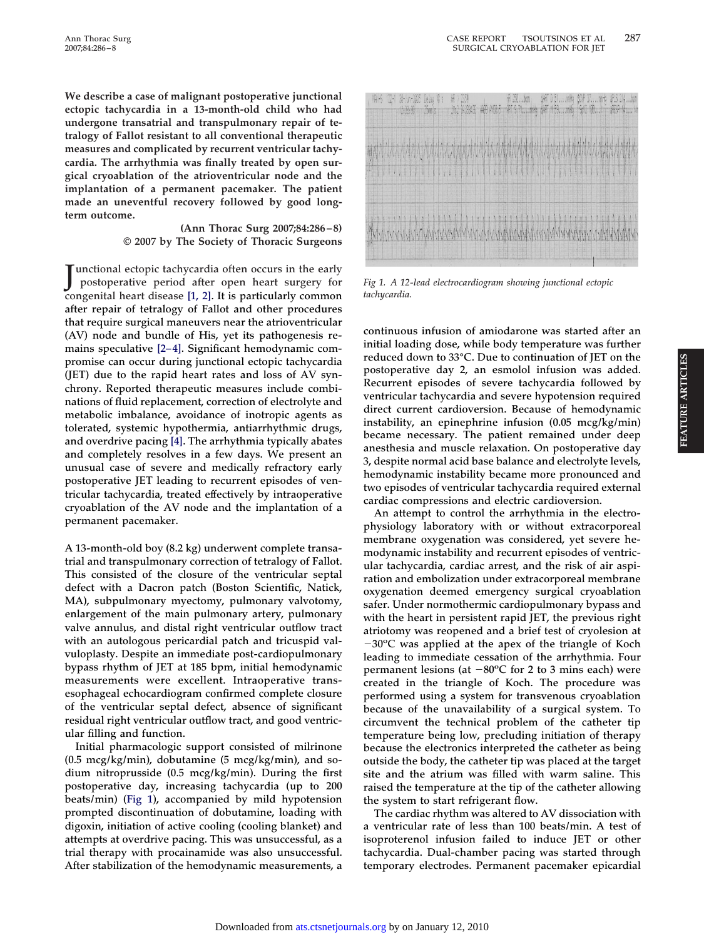**We describe a case of malignant postoperative junctional ectopic tachycardia in a 13-month-old child who had undergone transatrial and transpulmonary repair of tetralogy of Fallot resistant to all conventional therapeutic measures and complicated by recurrent ventricular tachycardia. The arrhythmia was finally treated by open surgical cryoablation of the atrioventricular node and the implantation of a permanent pacemaker. The patient made an uneventful recovery followed by good longterm outcome.**

### **(Ann Thorac Surg 2007;84:286–8) © 2007 by The Society of Thoracic Surgeons**

**J** unctional ectopic tachycardia often occurs in the early<br>postoperative period after open heart surgery for **postoperative period after open heart surgery for congenital heart disease [\[1, 2\].](#page-3-0) It is particularly common after repair of tetralogy of Fallot and other procedures that require surgical maneuvers near the atrioventricular (AV) node and bundle of His, yet its pathogenesis re**mains speculative [2-4]. Significant hemodynamic com**promise can occur during junctional ectopic tachycardia (JET) due to the rapid heart rates and loss of AV synchrony. Reported therapeutic measures include combinations of fluid replacement, correction of electrolyte and metabolic imbalance, avoidance of inotropic agents as tolerated, systemic hypothermia, antiarrhythmic drugs, and overdrive pacing [\[4\].](#page-3-0) The arrhythmia typically abates and completely resolves in a few days. We present an unusual case of severe and medically refractory early postoperative JET leading to recurrent episodes of ventricular tachycardia, treated effectively by intraoperative cryoablation of the AV node and the implantation of a permanent pacemaker.**

**A 13-month-old boy (8.2 kg) underwent complete transatrial and transpulmonary correction of tetralogy of Fallot. This consisted of the closure of the ventricular septal defect with a Dacron patch (Boston Scientific, Natick, MA), subpulmonary myectomy, pulmonary valvotomy, enlargement of the main pulmonary artery, pulmonary valve annulus, and distal right ventricular outflow tract with an autologous pericardial patch and tricuspid valvuloplasty. Despite an immediate post-cardiopulmonary bypass rhythm of JET at 185 bpm, initial hemodynamic measurements were excellent. Intraoperative transesophageal echocardiogram confirmed complete closure of the ventricular septal defect, absence of significant residual right ventricular outflow tract, and good ventricular filling and function.**

**Initial pharmacologic support consisted of milrinone (0.5 mcg/kg/min), dobutamine (5 mcg/kg/min), and sodium nitroprusside (0.5 mcg/kg/min). During the first postoperative day, increasing tachycardia (up to 200 beats/min) (Fig 1), accompanied by mild hypotension prompted discontinuation of dobutamine, loading with digoxin, initiation of active cooling (cooling blanket) and attempts at overdrive pacing. This was unsuccessful, as a trial therapy with procainamide was also unsuccessful. After stabilization of the hemodynamic measurements, a**

|  |  | NH5 12-1 |  | Shin-Wi leby \$: |  |  |  |  |  |  |  |  |  |  |  |  |  |  |  |  |  |  |  |  |  |  |  | Flum-285 Celay 16 x - 16 / 251  1970  1971 0.51  1971 0.51  1971 0.51  1971 0.51  1979  1<br>[1982]  1989  1989  1989  1989  1989  1989  1989  1989  1989  1989  1989 |  |                                |
|--|--|----------|--|------------------|--|--|--|--|--|--|--|--|--|--|--|--|--|--|--|--|--|--|--|--|--|--|--|-----------------------------------------------------------------------------------------------------------------------------------------------------------------------|--|--------------------------------|
|  |  |          |  |                  |  |  |  |  |  |  |  |  |  |  |  |  |  |  |  |  |  |  |  |  |  |  |  |                                                                                                                                                                       |  | MANNANA ANNANA AN ANNANA ARANG |
|  |  |          |  |                  |  |  |  |  |  |  |  |  |  |  |  |  |  |  |  |  |  |  |  |  |  |  |  |                                                                                                                                                                       |  |                                |
|  |  |          |  |                  |  |  |  |  |  |  |  |  |  |  |  |  |  |  |  |  |  |  |  |  |  |  |  |                                                                                                                                                                       |  |                                |

*Fig 1. A 12-lead electrocardiogram showing junctional ectopic tachycardia.*

**continuous infusion of amiodarone was started after an initial loading dose, while body temperature was further reduced down to 33°C. Due to continuation of JET on the postoperative day 2, an esmolol infusion was added. Recurrent episodes of severe tachycardia followed by ventricular tachycardia and severe hypotension required direct current cardioversion. Because of hemodynamic instability, an epinephrine infusion (0.05 mcg/kg/min) became necessary. The patient remained under deep anesthesia and muscle relaxation. On postoperative day 3, despite normal acid base balance and electrolyte levels, hemodynamic instability became more pronounced and two episodes of ventricular tachycardia required external cardiac compressions and electric cardioversion.**

**An attempt to control the arrhythmia in the electrophysiology laboratory with or without extracorporeal membrane oxygenation was considered, yet severe hemodynamic instability and recurrent episodes of ventricular tachycardia, cardiac arrest, and the risk of air aspiration and embolization under extracorporeal membrane oxygenation deemed emergency surgical cryoablation safer. Under normothermic cardiopulmonary bypass and with the heart in persistent rapid JET, the previous right atriotomy was reopened and a brief test of cryolesion at 30o C was applied at the apex of the triangle of Koch leading to immediate cessation of the arrhythmia. Four permanent lesions (at**  $-80^{\circ}$ **C for 2 to 3 mins each) were created in the triangle of Koch. The procedure was performed using a system for transvenous cryoablation because of the unavailability of a surgical system. To circumvent the technical problem of the catheter tip temperature being low, precluding initiation of therapy because the electronics interpreted the catheter as being outside the body, the catheter tip was placed at the target site and the atrium was filled with warm saline. This raised the temperature at the tip of the catheter allowing the system to start refrigerant flow.**

**The cardiac rhythm was altered to AV dissociation with a ventricular rate of less than 100 beats/min. A test of isoproterenol infusion failed to induce JET or other tachycardia. Dual-chamber pacing was started through temporary electrodes. Permanent pacemaker epicardial**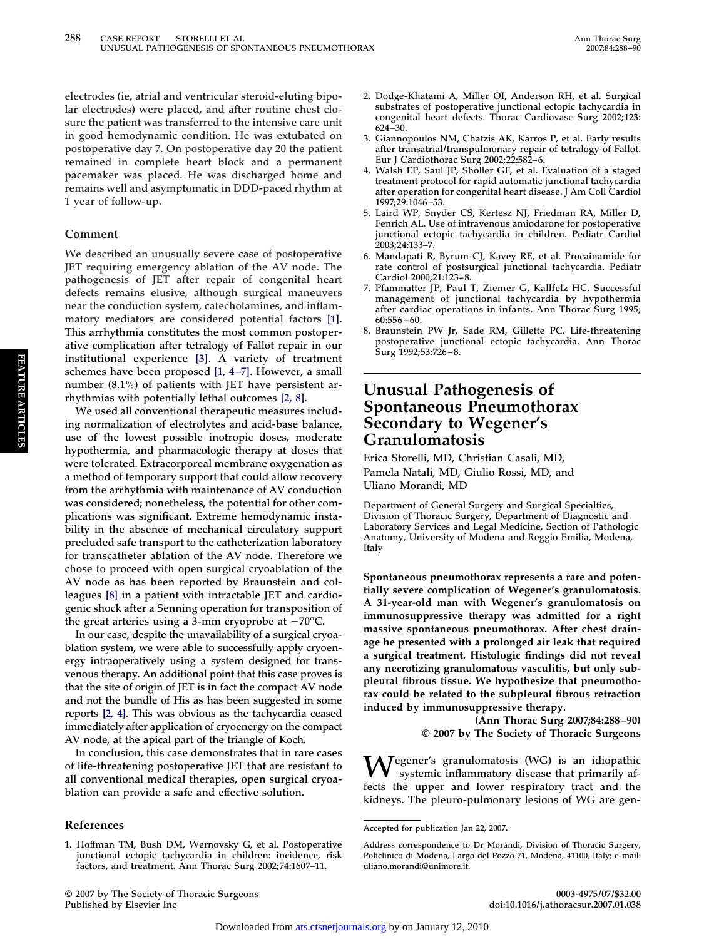<span id="page-3-0"></span>**electrodes (ie, atrial and ventricular steroid-eluting bipolar electrodes) were placed, and after routine chest closure the patient was transferred to the intensive care unit in good hemodynamic condition. He was extubated on postoperative day 7. On postoperative day 20 the patient remained in complete heart block and a permanent pacemaker was placed. He was discharged home and remains well and asymptomatic in DDD-paced rhythm at 1 year of follow-up.**

### **Comment**

**We described an unusually severe case of postoperative JET requiring emergency ablation of the AV node. The pathogenesis of JET after repair of congenital heart defects remains elusive, although surgical maneuvers near the conduction system, catecholamines, and inflammatory mediators are considered potential factors [1]. This arrhythmia constitutes the most common postoperative complication after tetralogy of Fallot repair in our institutional experience [3]. A variety of treatment schemes have been proposed [1, 4 –7]. However, a small number (8.1%) of patients with JET have persistent arrhythmias with potentially lethal outcomes [2, 8].**

**We used all conventional therapeutic measures including normalization of electrolytes and acid-base balance, use of the lowest possible inotropic doses, moderate hypothermia, and pharmacologic therapy at doses that were tolerated. Extracorporeal membrane oxygenation as a method of temporary support that could allow recovery from the arrhythmia with maintenance of AV conduction was considered; nonetheless, the potential for other complications was significant. Extreme hemodynamic instability in the absence of mechanical circulatory support precluded safe transport to the catheterization laboratory for transcatheter ablation of the AV node. Therefore we chose to proceed with open surgical cryoablation of the AV node as has been reported by Braunstein and colleagues [8] in a patient with intractable JET and cardiogenic shock after a Senning operation for transposition of** the great arteries using a  $3$ -mm cryoprobe at  $-70^{\circ}$ C.

**In our case, despite the unavailability of a surgical cryoablation system, we were able to successfully apply cryoenergy intraoperatively using a system designed for transvenous therapy. An additional point that this case proves is that the site of origin of JET is in fact the compact AV node and not the bundle of His as has been suggested in some reports [2, 4]. This was obvious as the tachycardia ceased immediately after application of cryoenergy on the compact AV node, at the apical part of the triangle of Koch.**

**In conclusion, this case demonstrates that in rare cases of life-threatening postoperative JET that are resistant to all conventional medical therapies, open surgical cryoablation can provide a safe and effective solution.**

#### **References**

- **2. Dodge-Khatami A, Miller OI, Anderson RH, et al. Surgical substrates of postoperative junctional ectopic tachycardia in congenital heart defects. Thorac Cardiovasc Surg 2002;123: 624 –30.**
- **3. Giannopoulos NM, Chatzis AK, Karros P, et al. Early results after transatrial/transpulmonary repair of tetralogy of Fallot. Eur J Cardiothorac Surg 2002;22:582– 6.**
- **4. Walsh EP, Saul JP, Sholler GF, et al. Evaluation of a staged treatment protocol for rapid automatic junctional tachycardia after operation for congenital heart disease. J Am Coll Cardiol 1997;29:1046 –53.**
- **5. Laird WP, Snyder CS, Kertesz NJ, Friedman RA, Miller D, Fenrich AL. Use of intravenous amiodarone for postoperative junctional ectopic tachycardia in children. Pediatr Cardiol 2003;24:133–7.**
- **6. Mandapati R, Byrum CJ, Kavey RE, et al. Procainamide for rate control of postsurgical junctional tachycardia. Pediatr Cardiol 2000;21:123– 8.**
- **7. Pfammatter JP, Paul T, Ziemer G, Kallfelz HC. Successful management of junctional tachycardia by hypothermia after cardiac operations in infants. Ann Thorac Surg 1995; 60:556 – 60.**
- **8. Braunstein PW Jr, Sade RM, Gillette PC. Life-threatening postoperative junctional ectopic tachycardia. Ann Thorac Surg 1992;53:726 – 8.**

## **Unusual Pathogenesis of Spontaneous Pneumothorax Secondary to Wegener's Granulomatosis**

**Erica Storelli, MD, Christian Casali, MD, Pamela Natali, MD, Giulio Rossi, MD, and Uliano Morandi, MD**

**Department of General Surgery and Surgical Specialties, Division of Thoracic Surgery, Department of Diagnostic and Laboratory Services and Legal Medicine, Section of Pathologic Anatomy, University of Modena and Reggio Emilia, Modena, Italy**

**Spontaneous pneumothorax represents a rare and potentially severe complication of Wegener's granulomatosis. A 31-year-old man with Wegener's granulomatosis on immunosuppressive therapy was admitted for a right massive spontaneous pneumothorax. After chest drainage he presented with a prolonged air leak that required a surgical treatment. Histologic findings did not reveal any necrotizing granulomatous vasculitis, but only subpleural fibrous tissue. We hypothesize that pneumothorax could be related to the subpleural fibrous retraction induced by immunosuppressive therapy.**

**(Ann Thorac Surg 2007;84:288–90) © 2007 by The Society of Thoracic Surgeons**

**Wegener's granulomatosis (WG) is an idiopathic systemic inflammatory disease that primarily affects the upper and lower respiratory tract and the kidneys. The pleuro-pulmonary lesions of WG are gen-**

**<sup>1.</sup> Hoffman TM, Bush DM, Wernovsky G, et al. Postoperative junctional ectopic tachycardia in children: incidence, risk factors, and treatment. Ann Thorac Surg 2002;74:1607–11.**

**Accepted for publication Jan 22, 2007.**

**Address correspondence to Dr Morandi, Division of Thoracic Surgery, Policlinico di Modena, Largo del Pozzo 71, Modena, 41100, Italy; e-mail: uliano.morandi@unimore.it.**